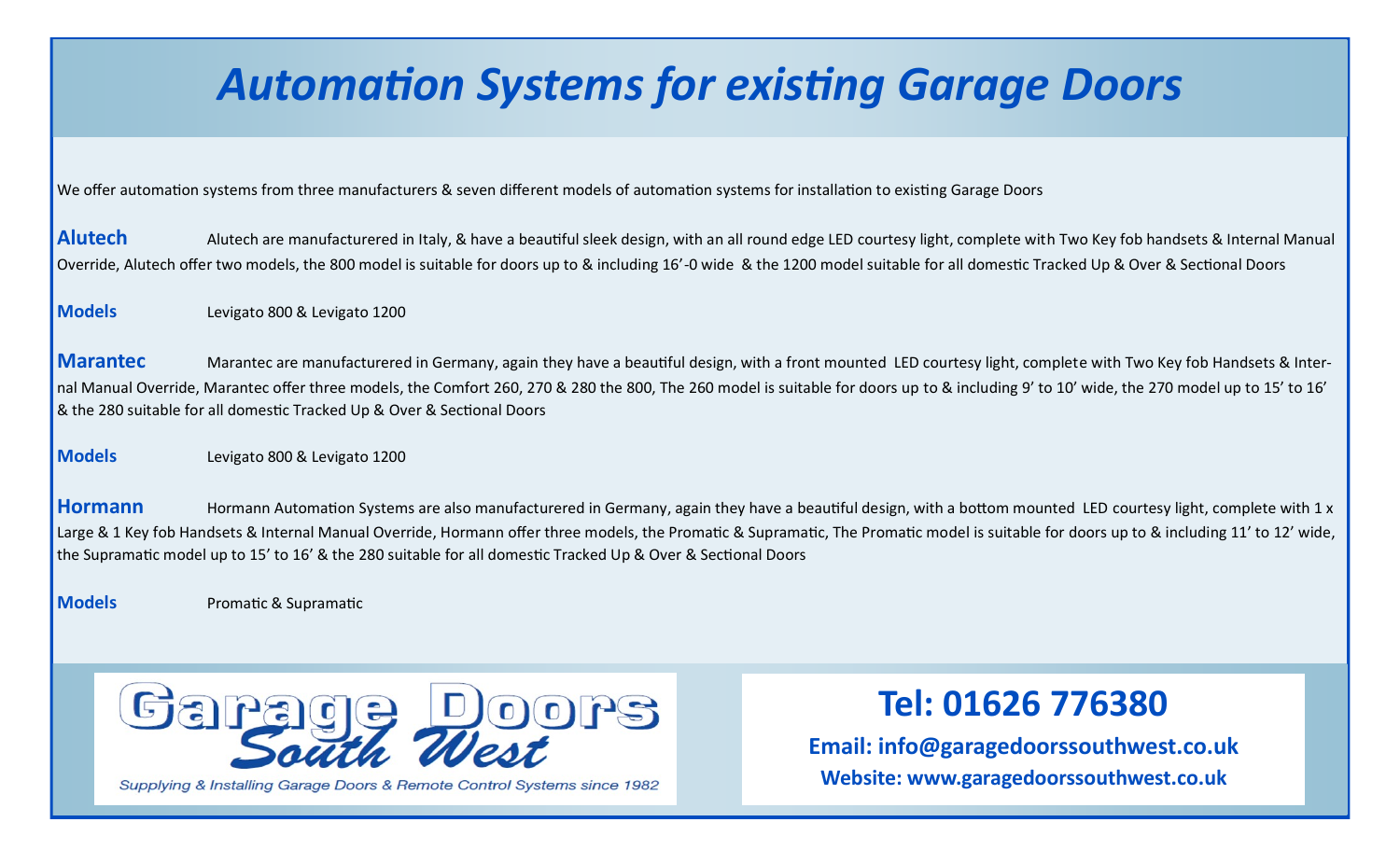# *Automation Systems for existing Garage Doors*

We offer automation systems from three manufacturers & seven different models of automation systems for installation to existing Garage Doors

Alutech Alutech are manufacturered in Italy, & have a beautiful sleek design, with an all round edge LED courtesy light, complete with Two Key fob handsets & Internal Manual Override, Alutech offer two models, the 800 model is suitable for doors up to & including 16'-0 wide & the 1200 model suitable for all domestic Tracked Up & Over & Sectional Doors

**Models** Levigato 800 & Levigato 1200

Marantec Marantec are manufacturered in Germany, again they have a beautiful design, with a front mounted LED courtesy light, complete with Two Key fob Handsets & Internal Manual Override, Marantec offer three models, the Comfort 260, 270 & 280 the 800, The 260 model is suitable for doors up to & including 9' to 10' wide, the 270 model up to 15' to 16' & the 280 suitable for all domestic Tracked Up & Over & Sectional Doors

**Models** Levigato 800 & Levigato 1200

Hormann Hormann Automation Systems are also manufacturered in Germany, again they have a beautiful design, with a bottom mounted LED courtesy light, complete with 1 x Large & 1 Key fob Handsets & Internal Manual Override, Hormann offer three models, the Promatic & Supramatic, The Promatic model is suitable for doors up to & including 11' to 12' wide, the Supramatic model up to 15' to 16' & the 280 suitable for all domestic Tracked Up & Over & Sectional Doors

**Models** Promatic & Supramatic



Supplying & Installing Garage Doors & Remote Control Systems since 1982

**Tel: 01626 776380**

**Email: info@garagedoorssouthwest.co.uk Website: www.garagedoorssouthwest.co.uk**